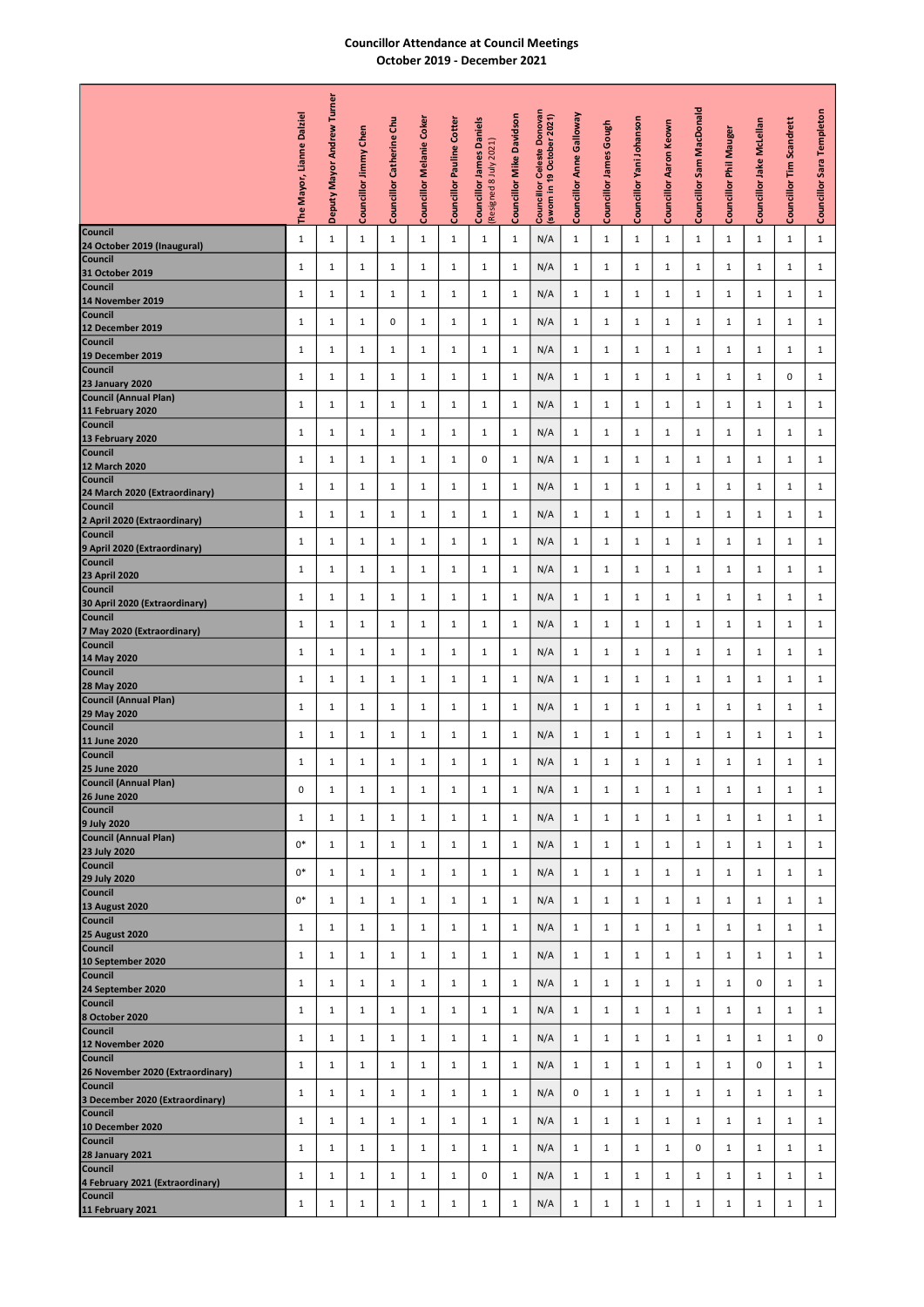## Councillor Attendance at Council Meetings October 2019 - December 2021

|                                             |                       | Mayor Andrew Turner |              |                          |                          |                                  |                        |                                 |                                                                     |               |                  |                          |                        |                          |              |                          |              |                |
|---------------------------------------------|-----------------------|---------------------|--------------|--------------------------|--------------------------|----------------------------------|------------------------|---------------------------------|---------------------------------------------------------------------|---------------|------------------|--------------------------|------------------------|--------------------------|--------------|--------------------------|--------------|----------------|
|                                             | Mayor, Lianne Dalziel |                     | Chen         | Councillor Catherine Chu | Councillor Melanie Coker | <b>Councillor Pauline Cotter</b> | <b>James Daniels</b>   | <b>Councillor Mike Davidson</b> | Donovar<br>Councillor Celeste Donovar<br>(sworn in 19 October 2021) | Anne Galloway | Gough            | Councillor Yani Johanson | Councillor Aaron Keown | Councillor Sam MacDonald | Phil Mauger  | Councillor Jake McLellan | Scandrett    | Sara Templeton |
|                                             |                       |                     | Jimmy        |                          |                          |                                  | (Resigned 8 July 2021) |                                 |                                                                     |               | Councillor James |                          |                        |                          |              |                          | Ϊm           |                |
|                                             | Fhe                   | Deputy              | Councillor   |                          |                          |                                  | Councillor             |                                 |                                                                     | Councillor    |                  |                          |                        |                          | Councillor   |                          | Councillor   | Councillor     |
| Council                                     | 1                     | $\mathbf{1}$        | $\mathbf{1}$ | $\mathbf{1}$             | 1                        | $\mathbf{1}$                     | $\mathbf{1}$           | $\mathbf{1}$                    | N/A                                                                 | $\mathbf{1}$  | $\mathbf{1}$     | $\mathbf{1}$             | $\mathbf{1}$           | $\mathbf{1}$             | 1            | $\mathbf{1}$             | $\mathbf{1}$ | $\mathbf{1}$   |
| 24 October 2019 (Inaugural)<br>Council      | $\mathbf{1}$          | $\mathbf{1}$        |              |                          | $\mathbf{1}$             | $\mathbf{1}$                     |                        | $\mathbf{1}$                    |                                                                     | $\mathbf{1}$  |                  |                          | 1                      | $\mathbf{1}$             | 1            | $\mathbf{1}$             | 1            | 1              |
| 31 October 2019<br>Council                  |                       |                     | 1            | $\mathbf{1}$             |                          |                                  | 1                      |                                 | N/A                                                                 |               | 1                | $\mathbf{1}$             |                        |                          |              |                          |              |                |
| 14 November 2019<br>Council                 | 1                     | 1                   | 1            | 1                        | 1                        | 1                                | 1                      | 1                               | N/A                                                                 | $\mathbf{1}$  | 1                | 1                        | 1                      | 1                        | 1            | 1                        | 1            | 1              |
| 12 December 2019                            | $\mathbf{1}$          | 1                   | 1            | 0                        | 1                        | 1                                | 1                      | 1                               | N/A                                                                 | $\mathbf{1}$  | 1                | 1                        | 1                      | 1                        | 1            | $\mathbf{1}$             | 1            | 1              |
| Council<br>19 December 2019                 | $\mathbf{1}$          | 1                   | $\mathbf{1}$ | 1                        | 1                        | 1                                | $\mathbf{1}$           | 1                               | N/A                                                                 | 1             | 1                | 1                        | 1                      | 1                        | 1            | 1                        | 1            | 1              |
| Council                                     | $\mathbf{1}$          | 1                   | 1            | 1                        | 1                        | 1                                | 1                      | 1                               | N/A                                                                 | 1             | 1                | 1                        | 1                      | 1                        | 1            | 1                        | 0            | 1              |
| 23 January 2020<br>Council (Annual Plan)    | $\mathbf{1}$          | $\mathbf{1}$        | $\mathbf{1}$ | $\mathbf{1}$             | 1                        | 1                                | $\mathbf{1}$           | 1                               | N/A                                                                 | 1             | $\mathbf{1}$     | 1                        | $\mathbf{1}$           | $\mathbf{1}$             | $\mathbf{1}$ | $\mathbf{1}$             | $\mathbf{1}$ | $\mathbf{1}$   |
| 11 February 2020<br>Council                 |                       |                     |              |                          |                          |                                  |                        |                                 |                                                                     |               |                  |                          |                        |                          |              |                          |              |                |
| 13 February 2020<br>Council                 | $\mathbf{1}$          | $\mathbf{1}$        | $\mathbf{1}$ | 1                        | 1                        | 1                                | 1                      | 1                               | N/A                                                                 | $\mathbf{1}$  | $\mathbf{1}$     | 1                        | $\mathbf{1}$           | 1                        | 1            | 1                        | 1            | 1              |
| 12 March 2020                               | 1                     | 1                   | $\mathbf{1}$ | 1                        | $\mathbf{1}$             | $\mathbf{1}$                     | 0                      | 1                               | N/A                                                                 | $\mathbf{1}$  | 1                | 1                        | $\mathbf{1}$           | 1                        | 1            | 1                        | $\mathbf{1}$ | 1              |
| Council                                     | 1                     | 1                   | 1            | 1                        | $\mathbf{1}$             | 1                                | 1                      | 1                               | N/A                                                                 | $\mathbf{1}$  | 1                | 1                        | $\mathbf{1}$           | 1                        | 1            | 1                        | 1            | 1              |
| 24 March 2020 (Extraordinary)<br>Council    | 1                     | 1                   | $\mathbf{1}$ | 1                        | 1                        | 1                                | $\mathbf{1}$           | 1                               | N/A                                                                 | $\mathbf{1}$  | 1                | 1                        | 1                      | $\mathbf{1}$             | 1            | $\mathbf{1}$             | 1            | $\mathbf{1}$   |
| 2 April 2020 (Extraordinary)<br>Council     | $\mathbf{1}$          | $\mathbf{1}$        | $\mathbf{1}$ | $\mathbf{1}$             | 1                        | $\mathbf{1}$                     | $\mathbf{1}$           | $\mathbf{1}$                    | N/A                                                                 | $\mathbf{1}$  | $\mathbf{1}$     | $\mathbf{1}$             | 1                      | $\mathbf{1}$             | $\mathbf{1}$ | $\mathbf{1}$             | 1            | $\mathbf{1}$   |
| 9 April 2020 (Extraordinary)<br>Council     |                       |                     |              |                          |                          |                                  |                        |                                 |                                                                     |               |                  |                          |                        |                          |              |                          |              |                |
| 23 April 2020<br>Council                    | $\mathbf{1}$          | $\mathbf{1}$        | 1            | $\mathbf{1}$             | 1                        | 1                                | 1                      | $\mathbf{1}$                    | N/A                                                                 | $\mathbf{1}$  | 1                | $\mathbf{1}$             | 1                      | $\mathbf{1}$             | 1            | $\mathbf{1}$             | 1            | 1              |
| 30 April 2020 (Extraordinary)<br>Council    | $\mathbf{1}$          | $\mathbf{1}$        | 1            | $\mathbf{1}$             | 1                        | 1                                | 1                      | $\mathbf{1}$                    | N/A                                                                 | $\mathbf{1}$  | 1                | $\mathbf{1}$             | 1                      | 1                        | 1            | $\mathbf{1}$             | 1            | 1              |
| 7 May 2020 (Extraordinary)                  | $\mathbf{1}$          | 1                   | 1            | 1                        | 1                        | 1                                | 1                      | $\mathbf{1}$                    | N/A                                                                 | $\mathbf{1}$  | 1                | $\mathbf{1}$             | $\mathbf{1}$           | 1                        | 1            | $\mathbf{1}$             | 1            | 1              |
| Council                                     | $\mathbf{1}$          | 1                   | 1            | 1                        | $\mathbf{1}$             | $\mathbf{1}$                     | 1                      | 1                               | N/A                                                                 | $\mathbf{1}$  | 1                | 1                        | $\mathbf{1}$           | 1                        | 1            | $\mathbf{1}$             | 1            | 1              |
| 14 May 2020<br>Council                      |                       |                     |              |                          | 1                        | 1                                |                        |                                 |                                                                     |               |                  |                          | $\mathbf{1}$           |                          |              |                          | 1            |                |
| 28 May 2020<br>Council (Annual Plan)        | $\mathbf{1}$          | $\mathbf{1}$        | 1            | $\mathbf{1}$             |                          |                                  | 1                      | $\mathbf{1}$                    | N/A                                                                 | $\mathbf{1}$  | 1                | 1                        |                        | 1                        | 1            | $\mathbf{1}$             |              | 1              |
| 29 May 2020                                 | $\mathbf{1}$          | $\mathbf{1}$        | $\mathbf{1}$ | $\mathbf{1}$             | 1                        | $\mathbf{1}$                     | $\mathbf{1}$           | $\mathbf{1}$                    | N/A                                                                 | $\mathbf{1}$  | 1                | 1                        | $\mathbf{1}$           | $\mathbf{1}$             | 1            | $\mathbf{1}$             | 1            | $\mathbf{1}$   |
| 11 June 2020                                | $\mathbf{1}$          | $\mathbf{1}$        | 1            | $\mathbf{1}$             | $\mathbf{1}$             | $\mathbf{1}$                     | 1                      | $\mathbf{1}$                    | N/A                                                                 | $\mathbf{1}$  | 1                | 1                        | $\mathbf{1}$           | 1                        | 1            | $\mathbf{1}$             | 1            | 1              |
| Council                                     | 1                     | $\mathbf{1}$        | 1            | 1                        | 1                        | 1                                | 1                      | 1                               | N/A                                                                 | $\mathbf{1}$  | 1                | 1                        | 1                      | 1                        | 1            | 1                        | 1            | 1              |
| 25 June 2020<br>Council (Annual Plan)       | $\mathbf 0$           | $\mathbf{1}$        | $\mathbf{1}$ | $\mathbf{1}$             | $\mathbf{1}$             | $\mathbf{1}$                     | $\mathbf{1}$           | $\mathbf{1}$                    | N/A                                                                 | $\mathbf{1}$  | $\mathbf{1}$     | $\mathbf{1}$             | $\mathbf{1}$           | $\mathbf{1}$             | $\mathbf{1}$ | $\mathbf{1}$             | $\mathbf{1}$ | $\mathbf{1}$   |
| 26 June 2020<br>Council                     |                       |                     |              |                          |                          |                                  |                        |                                 |                                                                     |               |                  |                          |                        |                          |              |                          |              |                |
| 9 July 2020<br>Council (Annual Plan)        | $\mathbf{1}$          | 1                   | $\mathbf{1}$ | $\mathbf{1}$             | 1                        | $\mathbf{1}$                     | $\mathbf{1}$           | 1                               | N/A                                                                 | 1             | $\mathbf{1}$     | $\mathbf{1}$             | 1                      | $\mathbf{1}$             | 1            | $\mathbf{1}$             | 1            | $\mathbf{1}$   |
| 23 July 2020<br>Council                     | $0*$                  | $\mathbf{1}$        | $\mathbf{1}$ | 1                        | 1                        | $\mathbf{1}$                     | $\mathbf{1}$           | $\mathbf{1}$                    | N/A                                                                 | 1             | 1                | 1                        | 1                      | 1                        | 1            | $\mathbf{1}$             | 1            | $\mathbf{1}$   |
|                                             | $0*$                  | $\mathbf{1}$        | $\mathbf{1}$ | 1                        | 1                        | $\mathbf{1}$                     | 1                      | $\mathbf{1}$                    | N/A                                                                 | 1             | 1                | 1                        | $\mathbf{1}$           | 1                        | 1            | $\mathbf{1}$             | 1            | $\mathbf{1}$   |
| 29 July 2020<br>Council<br>13 August 2020   | $0*$                  | $\mathbf{1}$        | 1            | $\mathbf{1}$             | 1                        | $\mathbf{1}$                     | $\mathbf{1}$           | $\mathbf{1}$                    | N/A                                                                 | $\mathbf{1}$  | 1                | $\mathbf{1}$             | 1                      | 1                        | 1            | $\mathbf{1}$             | 1            | $\mathbf{1}$   |
| Council                                     | 1                     | 1                   | 1            | 1                        | 1                        | 1                                | 1                      | 1                               | N/A                                                                 | 1             | 1                | 1                        | 1                      | 1                        | 1            | 1                        | 1            | 1              |
| 25 August 2020<br>Council                   |                       |                     |              |                          |                          |                                  |                        |                                 |                                                                     |               |                  |                          |                        |                          |              |                          |              |                |
| 10 September 2020<br>Council                | 1                     | 1                   | 1            | 1                        | 1                        | 1                                | 1                      | 1                               | N/A                                                                 | 1             | 1                | 1                        | 1                      | 1                        | 1            | 1                        | 1            | 1              |
| 24 September 2020                           | $\mathbf{1}$          | 1                   | 1            | 1                        | 1                        | 1                                | 1                      | 1                               | N/A                                                                 | 1             | 1                | 1                        | 1                      | 1                        | 1            | 0                        | 1            | 1              |
| Council<br>8 October 2020                   | $\mathbf{1}$          | 1                   | $\mathbf{1}$ | $\mathbf{1}$             | 1                        | 1                                | $\mathbf{1}$           | 1                               | N/A                                                                 | 1             | $\mathbf{1}$     | $\mathbf{1}$             | $\mathbf{1}$           | $\mathbf{1}$             | $\mathbf{1}$ | $\mathbf{1}$             | 1            | 1              |
| Council<br>12 November 2020                 | $\mathbf{1}$          | 1                   | 1            | 1                        | 1                        | 1                                | 1                      | 1                               | N/A                                                                 | $\mathbf{1}$  | 1                | 1                        | 1                      | 1                        | 1            | 1                        | 1            | 0              |
| Council                                     | $\mathbf{1}$          | 1                   | $\mathbf{1}$ | 1                        | $\mathbf{1}$             | 1                                | $\mathbf{1}$           | 1                               | N/A                                                                 | 1             | 1                | 1                        | $\mathbf{1}$           | 1                        | $\mathbf{1}$ | 0                        | 1            | 1              |
| 26 November 2020 (Extraordinary)<br>Council |                       |                     |              |                          |                          |                                  |                        |                                 |                                                                     |               |                  |                          |                        |                          |              |                          |              |                |
| 3 December 2020 (Extraordinary)<br>Council  | $\mathbf{1}$          | 1                   | 1            | 1                        | 1                        | 1                                | 1                      | 1                               | N/A                                                                 | 0             | 1                | 1                        | 1                      | 1                        | 1            | $\mathbf{1}$             | 1            | 1              |
| 10 December 2020                            | 1                     | 1                   | $\mathbf{1}$ | $\mathbf{1}$             | $\mathbf{1}$             | 1                                | $\mathbf{1}$           | 1                               | N/A                                                                 | 1             | $\mathbf{1}$     | $\mathbf{1}$             | $\mathbf{1}$           | 1                        | 1            | 1                        | 1            | 1              |
| Council<br><b>28 January 2021</b>           | 1                     | 1                   | $\mathbf{1}$ | 1                        | $\mathbf{1}$             | $\mathbf{1}$                     | 1                      | 1                               | N/A                                                                 | 1             | 1                | 1                        | $\mathbf{1}$           | 0                        | 1            | 1                        | 1            | 1              |
| Council                                     | 1                     | 1                   | 1            | 1                        | 1                        | $\mathbf{1}$                     | 0                      | 1                               | N/A                                                                 | 1             | 1                | 1                        | $\mathbf{1}$           | 1                        | 1            | 1                        | 1            | 1              |
| 4 February 2021 (Extraordinary)<br>Council  | $\mathbf{1}$          | $\mathbf{1}$        | $\mathbf{1}$ | $\mathbf{1}$             | 1                        | $\mathbf{1}$                     | $\mathbf{1}$           | $\mathbf{1}$                    | N/A                                                                 | $\mathbf{1}$  | $\mathbf{1}$     | $\mathbf{1}$             | $\mathbf{1}$           | $\mathbf{1}$             | 1            | $\mathbf{1}$             | 1            | $\mathbf{1}$   |
| 11 February 2021                            |                       |                     |              |                          |                          |                                  |                        |                                 |                                                                     |               |                  |                          |                        |                          |              |                          |              |                |